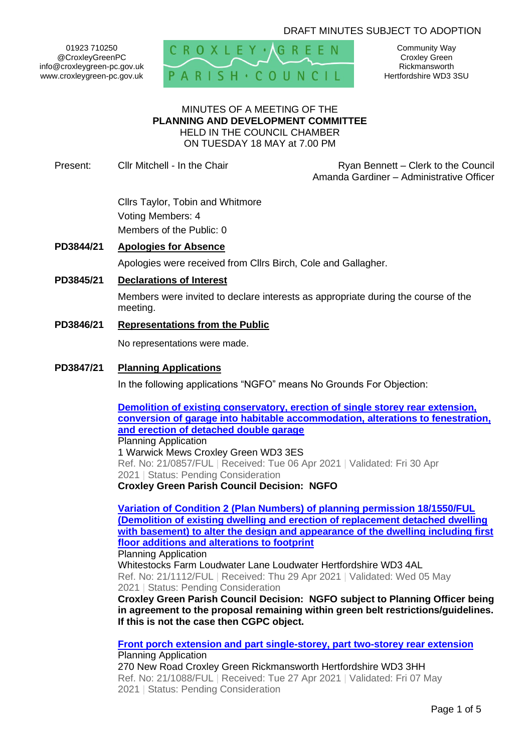## DRAFT MINUTES SUBJECT TO ADOPTION

01923 710250 @CroxleyGreenPC info@croxleygreen-pc.gov.uk www.croxleygreen-pc.gov.uk



Community Way Croxley Green Rickmansworth Hertfordshire WD3 3SU

#### MINUTES OF A MEETING OF THE **PLANNING AND DEVELOPMENT COMMITTEE** HELD IN THE COUNCIL CHAMBER ON TUESDAY 18 MAY at 7.00 PM

Present: Cllr Mitchell - In the Chair **Ryan Bennett – Clerk to the Council** Amanda Gardiner – Administrative Officer

> Cllrs Taylor, Tobin and Whitmore Voting Members: 4 Members of the Public: 0

### **PD3844/21 Apologies for Absence**

Apologies were received from Cllrs Birch, Cole and Gallagher.

### **PD3845/21 Declarations of Interest**

Members were invited to declare interests as appropriate during the course of the meeting.

**PD3846/21 Representations from the Public**

No representations were made.

### **PD3847/21 Planning Applications**

In the following applications "NGFO" means No Grounds For Objection:

**[Demolition of existing conservatory, erection of single storey rear extension,](https://www3.threerivers.gov.uk/online-applications/applicationDetails.do?activeTab=summary&keyVal=QQXCV1QFN0300&prevPage=inTray)  [conversion of garage into habitable accommodation, alterations to fenestration,](https://www3.threerivers.gov.uk/online-applications/applicationDetails.do?activeTab=summary&keyVal=QQXCV1QFN0300&prevPage=inTray)  [and erection of detached double garage](https://www3.threerivers.gov.uk/online-applications/applicationDetails.do?activeTab=summary&keyVal=QQXCV1QFN0300&prevPage=inTray)** Planning Application

1 Warwick Mews Croxley Green WD3 3ES Ref. No: 21/0857/FUL | Received: Tue 06 Apr 2021 | Validated: Fri 30 Apr 2021 | Status: Pending Consideration

**Croxley Green Parish Council Decision: NGFO** 

**[Variation of Condition 2 \(Plan Numbers\) of planning permission 18/1550/FUL](https://www3.threerivers.gov.uk/online-applications/applicationDetails.do?activeTab=summary&keyVal=QSBNYIQFFN100&prevPage=inTray)  [\(Demolition of existing dwelling and erection of replacement detached dwelling](https://www3.threerivers.gov.uk/online-applications/applicationDetails.do?activeTab=summary&keyVal=QSBNYIQFFN100&prevPage=inTray)  [with basement\) to alter the design and appearance of the dwelling including first](https://www3.threerivers.gov.uk/online-applications/applicationDetails.do?activeTab=summary&keyVal=QSBNYIQFFN100&prevPage=inTray)  [floor additions and alterations to footprint](https://www3.threerivers.gov.uk/online-applications/applicationDetails.do?activeTab=summary&keyVal=QSBNYIQFFN100&prevPage=inTray)**

#### Planning Application

Whitestocks Farm Loudwater Lane Loudwater Hertfordshire WD3 4AL Ref. No: 21/1112/FUL | Received: Thu 29 Apr 2021 | Validated: Wed 05 May 2021 | Status: Pending Consideration

**Croxley Green Parish Council Decision: NGFO subject to Planning Officer being in agreement to the proposal remaining within green belt restrictions/guidelines. If this is not the case then CGPC object.**

**[Front porch extension and part single-storey, part two-storey rear extension](https://www3.threerivers.gov.uk/online-applications/applicationDetails.do?activeTab=summary&keyVal=QS826GQF0D100&prevPage=inTray)** Planning Application

270 New Road Croxley Green Rickmansworth Hertfordshire WD3 3HH Ref. No: 21/1088/FUL | Received: Tue 27 Apr 2021 | Validated: Fri 07 May 2021 | Status: Pending Consideration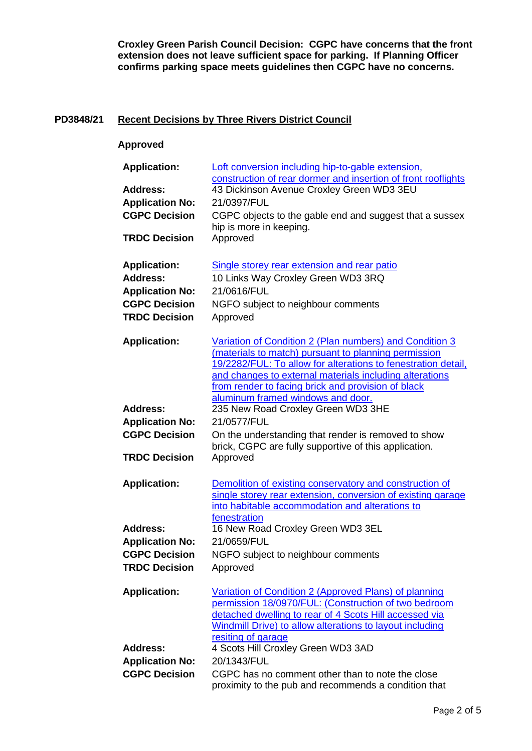**Croxley Green Parish Council Decision: CGPC have concerns that the front extension does not leave sufficient space for parking. If Planning Officer confirms parking space meets guidelines then CGPC have no concerns.**

# **PD3848/21 Recent Decisions by Three Rivers District Council**

## **Approved**

| <b>Application:</b>    | Loft conversion including hip-to-gable extension,<br>construction of rear dormer and insertion of front rooflights                                                                                                                                                                                                                     |
|------------------------|----------------------------------------------------------------------------------------------------------------------------------------------------------------------------------------------------------------------------------------------------------------------------------------------------------------------------------------|
| <b>Address:</b>        | 43 Dickinson Avenue Croxley Green WD3 3EU                                                                                                                                                                                                                                                                                              |
| <b>Application No:</b> | 21/0397/FUL                                                                                                                                                                                                                                                                                                                            |
| <b>CGPC Decision</b>   | CGPC objects to the gable end and suggest that a sussex                                                                                                                                                                                                                                                                                |
|                        | hip is more in keeping.                                                                                                                                                                                                                                                                                                                |
| <b>TRDC Decision</b>   | Approved                                                                                                                                                                                                                                                                                                                               |
| <b>Application:</b>    | Single storey rear extension and rear patio                                                                                                                                                                                                                                                                                            |
| <b>Address:</b>        | 10 Links Way Croxley Green WD3 3RQ                                                                                                                                                                                                                                                                                                     |
| <b>Application No:</b> | 21/0616/FUL                                                                                                                                                                                                                                                                                                                            |
| <b>CGPC Decision</b>   | NGFO subject to neighbour comments                                                                                                                                                                                                                                                                                                     |
| <b>TRDC Decision</b>   | Approved                                                                                                                                                                                                                                                                                                                               |
| <b>Application:</b>    | Variation of Condition 2 (Plan numbers) and Condition 3<br>(materials to match) pursuant to planning permission<br>19/2282/FUL: To allow for alterations to fenestration detail.<br>and changes to external materials including alterations<br>from render to facing brick and provision of black<br>aluminum framed windows and door. |
| <b>Address:</b>        | 235 New Road Croxley Green WD3 3HE                                                                                                                                                                                                                                                                                                     |
| <b>Application No:</b> | 21/0577/FUL                                                                                                                                                                                                                                                                                                                            |
| <b>CGPC Decision</b>   | On the understanding that render is removed to show                                                                                                                                                                                                                                                                                    |
|                        | brick, CGPC are fully supportive of this application.                                                                                                                                                                                                                                                                                  |
| <b>TRDC Decision</b>   | Approved                                                                                                                                                                                                                                                                                                                               |
| <b>Application:</b>    | Demolition of existing conservatory and construction of<br>single storey rear extension, conversion of existing garage<br>into habitable accommodation and alterations to<br>fenestration                                                                                                                                              |
| <b>Address:</b>        | 16 New Road Croxley Green WD3 3EL                                                                                                                                                                                                                                                                                                      |
| <b>Application No:</b> | 21/0659/FUL                                                                                                                                                                                                                                                                                                                            |
| <b>CGPC Decision</b>   | NGFO subject to neighbour comments                                                                                                                                                                                                                                                                                                     |
| <b>TRDC Decision</b>   | Approved                                                                                                                                                                                                                                                                                                                               |
| <b>Application:</b>    | Variation of Condition 2 (Approved Plans) of planning<br>permission 18/0970/FUL: (Construction of two bedroom<br>detached dwelling to rear of 4 Scots Hill accessed via<br>Windmill Drive) to allow alterations to layout including<br>resiting of garage                                                                              |
| <b>Address:</b>        | 4 Scots Hill Croxley Green WD3 3AD                                                                                                                                                                                                                                                                                                     |
| <b>Application No:</b> | 20/1343/FUL                                                                                                                                                                                                                                                                                                                            |
| <b>CGPC Decision</b>   | CGPC has no comment other than to note the close                                                                                                                                                                                                                                                                                       |
|                        | proximity to the pub and recommends a condition that                                                                                                                                                                                                                                                                                   |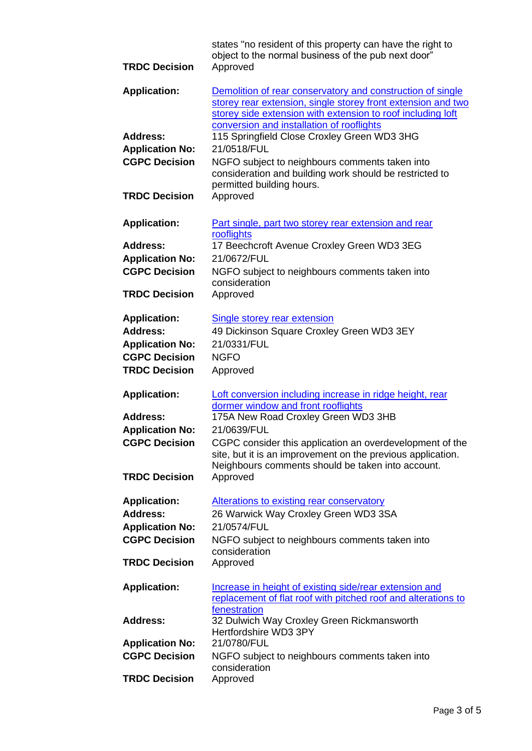| <b>TRDC Decision</b>                           | states "no resident of this property can have the right to<br>object to the normal business of the pub next door"<br>Approved                                                                                                          |
|------------------------------------------------|----------------------------------------------------------------------------------------------------------------------------------------------------------------------------------------------------------------------------------------|
| <b>Application:</b>                            | Demolition of rear conservatory and construction of single<br>storey rear extension, single storey front extension and two<br>storey side extension with extension to roof including loft<br>conversion and installation of rooflights |
| <b>Address:</b>                                | 115 Springfield Close Croxley Green WD3 3HG                                                                                                                                                                                            |
| <b>Application No:</b>                         | 21/0518/FUL                                                                                                                                                                                                                            |
| <b>CGPC Decision</b>                           | NGFO subject to neighbours comments taken into<br>consideration and building work should be restricted to<br>permitted building hours.                                                                                                 |
| <b>TRDC Decision</b>                           | Approved                                                                                                                                                                                                                               |
| <b>Application:</b>                            | Part single, part two storey rear extension and rear<br>rooflights                                                                                                                                                                     |
| <b>Address:</b>                                | 17 Beechcroft Avenue Croxley Green WD3 3EG                                                                                                                                                                                             |
| <b>Application No:</b>                         | 21/0672/FUL                                                                                                                                                                                                                            |
| <b>CGPC Decision</b>                           | NGFO subject to neighbours comments taken into<br>consideration                                                                                                                                                                        |
| <b>TRDC Decision</b>                           | Approved                                                                                                                                                                                                                               |
| <b>Application:</b>                            | <b>Single storey rear extension</b>                                                                                                                                                                                                    |
| <b>Address:</b>                                | 49 Dickinson Square Croxley Green WD3 3EY                                                                                                                                                                                              |
| <b>Application No:</b>                         | 21/0331/FUL                                                                                                                                                                                                                            |
| <b>CGPC Decision</b>                           | <b>NGFO</b>                                                                                                                                                                                                                            |
| <b>TRDC Decision</b>                           | Approved                                                                                                                                                                                                                               |
| <b>Application:</b>                            | Loft conversion including increase in ridge height, rear                                                                                                                                                                               |
|                                                |                                                                                                                                                                                                                                        |
|                                                | dormer window and front rooflights                                                                                                                                                                                                     |
| <b>Address:</b>                                | 175A New Road Croxley Green WD3 3HB                                                                                                                                                                                                    |
| <b>Application No:</b>                         | 21/0639/FUL                                                                                                                                                                                                                            |
| <b>CGPC Decision</b>                           | CGPC consider this application an overdevelopment of the<br>site, but it is an improvement on the previous application.<br>Neighbours comments should be taken into account.                                                           |
| <b>TRDC Decision</b>                           | Approved                                                                                                                                                                                                                               |
|                                                |                                                                                                                                                                                                                                        |
| <b>Application:</b><br><b>Address:</b>         | <b>Alterations to existing rear conservatory</b>                                                                                                                                                                                       |
| <b>Application No:</b>                         | 26 Warwick Way Croxley Green WD3 3SA<br>21/0574/FUL                                                                                                                                                                                    |
| <b>CGPC Decision</b>                           | NGFO subject to neighbours comments taken into                                                                                                                                                                                         |
| <b>TRDC Decision</b>                           | consideration<br>Approved                                                                                                                                                                                                              |
| <b>Application:</b>                            | Increase in height of existing side/rear extension and<br>replacement of flat roof with pitched roof and alterations to                                                                                                                |
| <b>Address:</b>                                | fenestration<br>32 Dulwich Way Croxley Green Rickmansworth<br>Hertfordshire WD3 3PY                                                                                                                                                    |
|                                                | 21/0780/FUL                                                                                                                                                                                                                            |
| <b>Application No:</b><br><b>CGPC Decision</b> | NGFO subject to neighbours comments taken into<br>consideration                                                                                                                                                                        |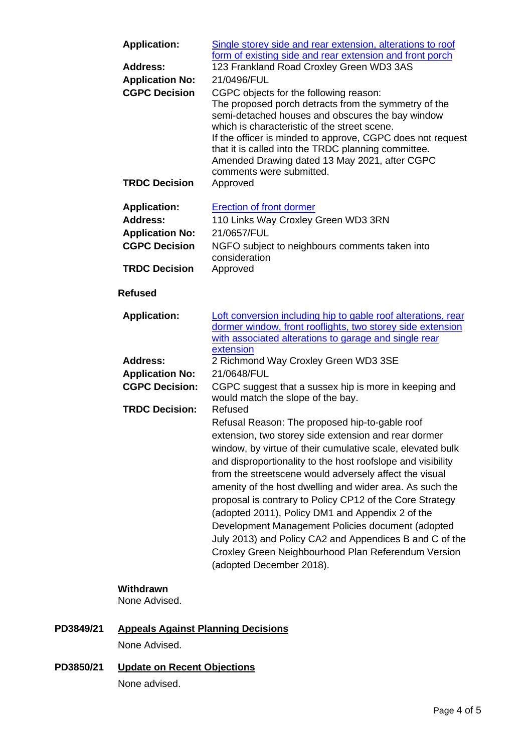| <b>Application:</b>        | Single storey side and rear extension, alterations to roof<br>form of existing side and rear extension and front porch                                                                                                                                                                                                                                                                                                                                                                                                                                                                                                                                                       |
|----------------------------|------------------------------------------------------------------------------------------------------------------------------------------------------------------------------------------------------------------------------------------------------------------------------------------------------------------------------------------------------------------------------------------------------------------------------------------------------------------------------------------------------------------------------------------------------------------------------------------------------------------------------------------------------------------------------|
| <b>Address:</b>            | 123 Frankland Road Croxley Green WD3 3AS                                                                                                                                                                                                                                                                                                                                                                                                                                                                                                                                                                                                                                     |
| <b>Application No:</b>     | 21/0496/FUL                                                                                                                                                                                                                                                                                                                                                                                                                                                                                                                                                                                                                                                                  |
| <b>CGPC Decision</b>       | CGPC objects for the following reason:<br>The proposed porch detracts from the symmetry of the<br>semi-detached houses and obscures the bay window<br>which is characteristic of the street scene.<br>If the officer is minded to approve, CGPC does not request<br>that it is called into the TRDC planning committee.<br>Amended Drawing dated 13 May 2021, after CGPC<br>comments were submitted.                                                                                                                                                                                                                                                                         |
| <b>TRDC Decision</b>       | Approved                                                                                                                                                                                                                                                                                                                                                                                                                                                                                                                                                                                                                                                                     |
| <b>Application:</b>        | <b>Erection of front dormer</b>                                                                                                                                                                                                                                                                                                                                                                                                                                                                                                                                                                                                                                              |
| <b>Address:</b>            | 110 Links Way Croxley Green WD3 3RN                                                                                                                                                                                                                                                                                                                                                                                                                                                                                                                                                                                                                                          |
| <b>Application No:</b>     | 21/0657/FUL                                                                                                                                                                                                                                                                                                                                                                                                                                                                                                                                                                                                                                                                  |
| <b>CGPC Decision</b>       | NGFO subject to neighbours comments taken into<br>consideration                                                                                                                                                                                                                                                                                                                                                                                                                                                                                                                                                                                                              |
| <b>TRDC Decision</b>       | Approved                                                                                                                                                                                                                                                                                                                                                                                                                                                                                                                                                                                                                                                                     |
| <b>Refused</b>             |                                                                                                                                                                                                                                                                                                                                                                                                                                                                                                                                                                                                                                                                              |
| <b>Application:</b>        | Loft conversion including hip to gable roof alterations, rear<br>dormer window, front rooflights, two storey side extension<br>with associated alterations to garage and single rear<br>extension                                                                                                                                                                                                                                                                                                                                                                                                                                                                            |
| <b>Address:</b>            | 2 Richmond Way Croxley Green WD3 3SE                                                                                                                                                                                                                                                                                                                                                                                                                                                                                                                                                                                                                                         |
| <b>Application No:</b>     | 21/0648/FUL                                                                                                                                                                                                                                                                                                                                                                                                                                                                                                                                                                                                                                                                  |
| <b>CGPC Decision:</b>      | CGPC suggest that a sussex hip is more in keeping and<br>would match the slope of the bay.                                                                                                                                                                                                                                                                                                                                                                                                                                                                                                                                                                                   |
| <b>TRDC Decision:</b>      | Refused                                                                                                                                                                                                                                                                                                                                                                                                                                                                                                                                                                                                                                                                      |
|                            | Refusal Reason: The proposed hip-to-gable roof<br>extension, two storey side extension and rear dormer<br>window, by virtue of their cumulative scale, elevated bulk<br>and disproportionality to the host roofslope and visibility<br>from the streetscene would adversely affect the visual<br>amenity of the host dwelling and wider area. As such the<br>proposal is contrary to Policy CP12 of the Core Strategy<br>(adopted 2011), Policy DM1 and Appendix 2 of the<br>Development Management Policies document (adopted<br>July 2013) and Policy CA2 and Appendices B and C of the<br>Croxley Green Neighbourhood Plan Referendum Version<br>(adopted December 2018). |
| Withdrawn<br>None Advised. |                                                                                                                                                                                                                                                                                                                                                                                                                                                                                                                                                                                                                                                                              |

# **PD3849/21 Appeals Against Planning Decisions**

None Advised.

**PD3850/21 Update on Recent Objections** None advised.